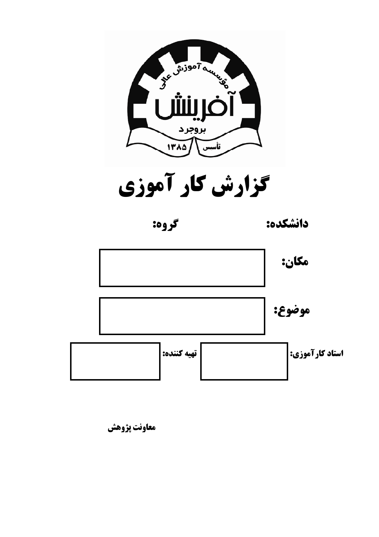

گزارش کار آموزی



دانشكده:



معاونت پژوهش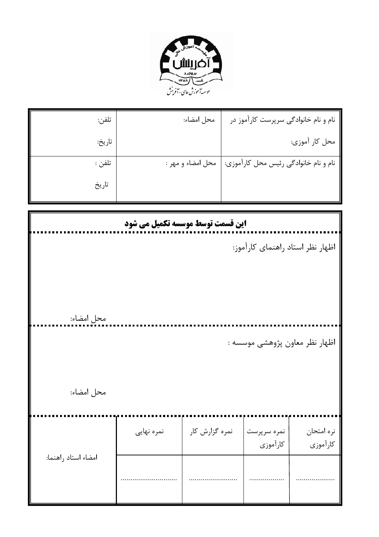

| تلفن:  | محل امضاء:        | نام و نام خانوادگی سرپرست کارآموز در  |
|--------|-------------------|---------------------------------------|
| تاريخ: |                   | محل کار آموزي:                        |
| تلفن : | محل امضاء و مهر : | نام و نام خانوادگی رئیس محل کارآموزی: |
| تاريخ  |                   |                                       |

| این قسمت توسط موسسه تکمیل می شود |            |                |                         |                                  |  |  |  |
|----------------------------------|------------|----------------|-------------------------|----------------------------------|--|--|--|
|                                  |            |                |                         | اظهار نظر استاد راهنمای کارآموز: |  |  |  |
| محل امضاء:                       |            |                |                         |                                  |  |  |  |
|                                  |            |                |                         | اظهار نظر معاون پژوهشی موسسه :   |  |  |  |
| محل امضاء:                       |            |                |                         |                                  |  |  |  |
|                                  | نمره نهایی | نمره گزارش کار | نمره سرپرست<br>كارآموزي | نره امتحان<br>كارآموزي           |  |  |  |
| امضاء استاد راهنما:              |            |                |                         |                                  |  |  |  |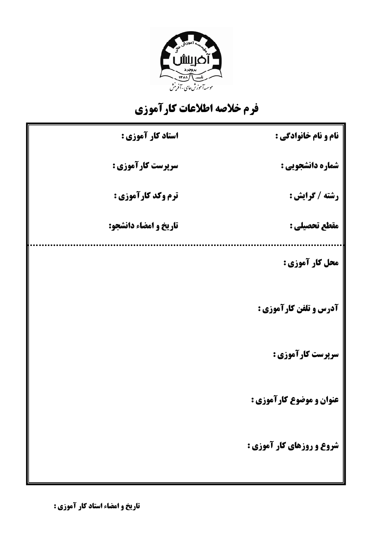

## فرم خلاصه اطلاعات كارآموزي

| استاد کار آموزی :         | نام و نام خانوادگی :          |
|---------------------------|-------------------------------|
| سرپرست کارآموزی :         | شماره دانشجویی :              |
| <b>ترم وکد کارآموزی :</b> | رشته / گرایش :                |
| تاريخ و امضاء دانشجو:     | مقطع تحصيلي :                 |
|                           | محل کار آموزی :               |
|                           | <b>آدرس و تلفن کارآموزی :</b> |
|                           | سرپرست کارآموزی :             |
|                           | عنوان و موضوع کارآموزی :      |
|                           | شروع و روزهای کار آموزی :     |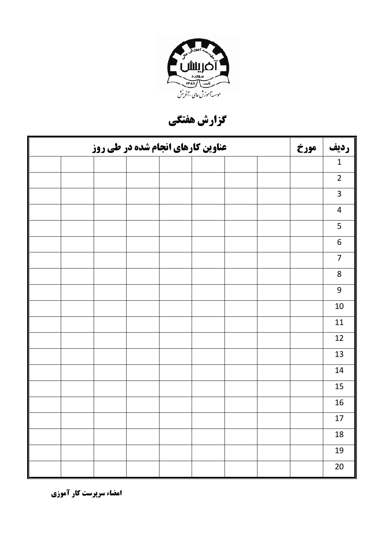

گزارش هفتگی

| <b>عناوین کارهای انجام شده در طی روز</b> |  |  |  |  |  |  | مورخ | رديف |                  |
|------------------------------------------|--|--|--|--|--|--|------|------|------------------|
|                                          |  |  |  |  |  |  |      |      | $\mathbf 1$      |
|                                          |  |  |  |  |  |  |      |      | $\overline{2}$   |
|                                          |  |  |  |  |  |  |      |      | $\overline{3}$   |
|                                          |  |  |  |  |  |  |      |      | $\overline{4}$   |
|                                          |  |  |  |  |  |  |      |      | 5                |
|                                          |  |  |  |  |  |  |      |      | $\boldsymbol{6}$ |
|                                          |  |  |  |  |  |  |      |      | $\overline{7}$   |
|                                          |  |  |  |  |  |  |      |      | $\,8\,$          |
|                                          |  |  |  |  |  |  |      |      | $\boldsymbol{9}$ |
|                                          |  |  |  |  |  |  |      |      | $10\,$           |
|                                          |  |  |  |  |  |  |      |      | 11               |
|                                          |  |  |  |  |  |  |      |      | 12               |
|                                          |  |  |  |  |  |  |      |      | 13               |
|                                          |  |  |  |  |  |  |      |      | 14               |
|                                          |  |  |  |  |  |  |      |      | 15               |
|                                          |  |  |  |  |  |  |      |      | 16               |
|                                          |  |  |  |  |  |  |      |      | 17               |
|                                          |  |  |  |  |  |  |      |      | 18               |
|                                          |  |  |  |  |  |  |      |      | 19               |
|                                          |  |  |  |  |  |  |      |      | $20\,$           |

امضاء سرپرست کار آموزی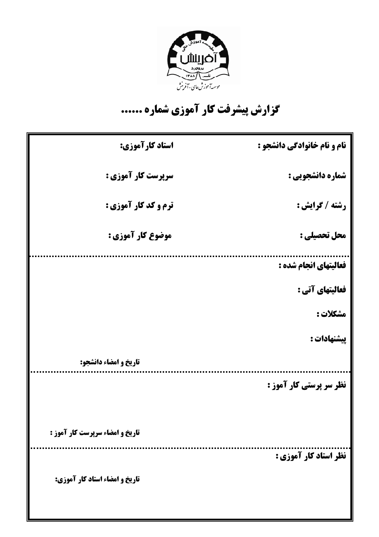

## گزارش پیشرفت کار آموزی شماره ......

| استاد کارآموزی:                 | نام و نام خانوادگی دانشجو :    |
|---------------------------------|--------------------------------|
| سرپرست کار آموزی :              | شماره دانشجویی :               |
| <b>ترم و کد کار آموزی :</b>     | رشته / گرایش :                 |
| موضوع کار آموزی :               | محل تحصیلی :                   |
|                                 | فعالیتهای انجام شده :          |
|                                 | فعالیتهای آتی :                |
|                                 | مشكلات :                       |
|                                 | پیشنهادات :                    |
| تاريخ و امضاء دانشجو:           |                                |
|                                 | <b>نظر سر پرستی کار آموز :</b> |
| تاریخ و امضاء سرپرست کار آموز : |                                |
|                                 | نظر استاد کار آموزی :          |
| تاریخ و امضاء استاد کار آموزی:  |                                |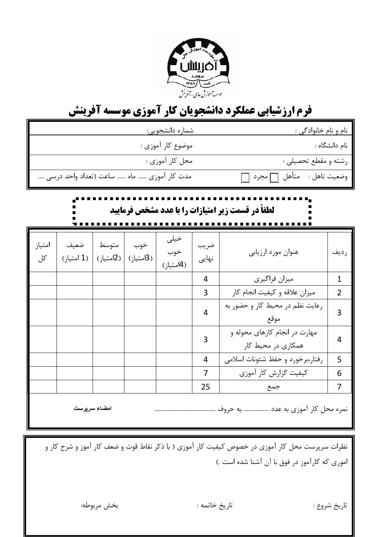

## **فرم ارزشیابی عملکرد دانشجویان کار آموزی موسسه آفرینش**

|                                                   |                    |       | شماره دانشجویی:              |                          | نام و نام خانوادگی : |                                                     |                |
|---------------------------------------------------|--------------------|-------|------------------------------|--------------------------|----------------------|-----------------------------------------------------|----------------|
|                                                   |                    |       | موضوع کار آموزی :            |                          |                      | نام دانشگاه :                                       |                |
| محل کار آموزي :                                   |                    |       |                              |                          |                      | رشته و مقطع تحصیلی :                                |                |
| مدت کار آموزی  ماه  ساعت (تعداد واحد درسی         |                    |       |                              |                          |                      | وضعيت تاهل : متأهل ٦مجرد                            |                |
| لطفاً در قسمت زیر امتیازات را با عدد مشخص فرمایید |                    |       |                              |                          |                      |                                                     |                |
| امتياز<br>کل                                      | ضعيف<br>(1 امتياز) | متوسط | خوب<br>(3امتياز)   (2امتياز) | خيلى<br>خوب<br>(4امتياز) | ضريب<br>نهایی        | عنوان مورد ارزيابي                                  | رديف           |
|                                                   |                    |       |                              |                          | $\overline{4}$       | ميزان فراگيري                                       | $\overline{1}$ |
|                                                   |                    |       |                              |                          | 3                    | میزان علاقه و کیفیت انجام کار                       | $\overline{2}$ |
|                                                   |                    |       |                              |                          | 4                    | رعایت نظم در محیط کار و حضور به<br>موقع             | 3              |
|                                                   |                    |       |                              |                          | 3                    | مهارت در انجام کارهای محوله و<br>همکاری در محیط کار | $\overline{4}$ |
|                                                   |                    |       |                              |                          | 4                    | رفتار،برخورد وحفظ شئونات اسلامى                     | 5              |
|                                                   |                    |       |                              |                          | 7                    | كيفيت گزارش كار آموزي                               | 6              |
|                                                   |                    |       |                              |                          | 25                   | جمع                                                 | 7              |
| امضاء سرپرست                                      |                    |       |                              |                          |                      |                                                     |                |

| نظرات سرپرست محل کار آموزی در خصوص کیفیت کار آموزی ( با ذکر نقاط قوت و ضعف کار آموز و شرح کار و اموري كه كارآموز در فوق با آن آشنا شده است .)

تاريخ شروع :

تاريخ خاتمه :

بخش مربوطه: